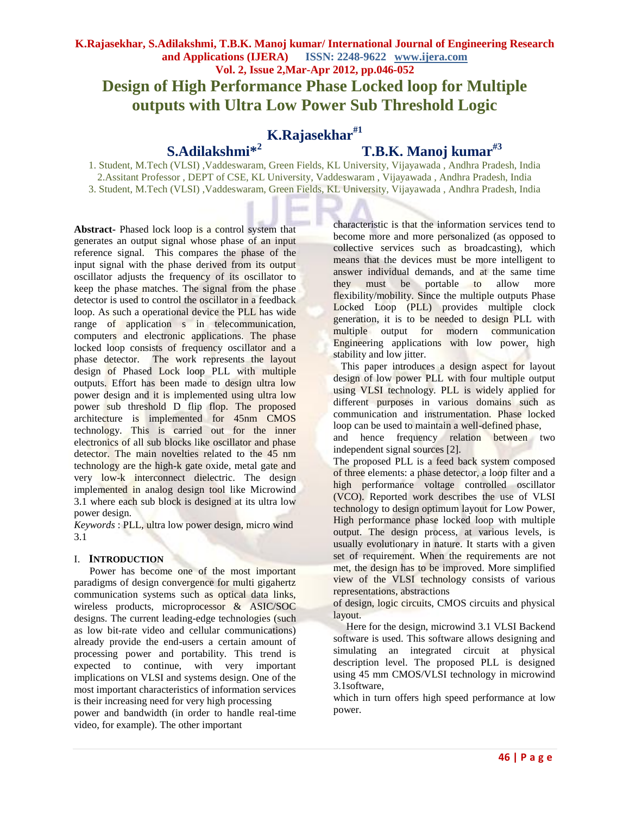## **Design of High Performance Phase Locked loop for Multiple outputs with Ultra Low Power Sub Threshold Logic**

# **K.Rajasekhar#1**

## **S.Adilakshmi\* 2**

## **T.B.K. Manoj kumar#3**

1. Student, M.Tech (VLSI) ,Vaddeswaram, Green Fields, KL University, Vijayawada , Andhra Pradesh, India 2.Assitant Professor , DEPT of CSE, KL University, Vaddeswaram , Vijayawada , Andhra Pradesh, India 3. Student, M.Tech (VLSI) ,Vaddeswaram, Green Fields, KL University, Vijayawada , Andhra Pradesh, India

**Abstract-** Phased lock loop is a control system that generates an output signal whose phase of an input reference signal. This compares the phase of the input signal with the phase derived from its output oscillator adjusts the frequency of its oscillator to keep the phase matches. The signal from the phase detector is used to control the oscillator in a feedback loop. As such a operational device the PLL has wide range of application s in telecommunication, computers and electronic applications. The phase locked loop consists of frequency oscillator and a phase detector. The work represents the layout design of Phased Lock loop PLL with multiple outputs. Effort has been made to design ultra low power design and it is implemented using ultra low power sub threshold D flip flop. The proposed architecture is implemented for 45nm CMOS technology. This is carried out for the inner electronics of all sub blocks like oscillator and phase detector. The main novelties related to the 45 nm technology are the high-k gate oxide, metal gate and very low-k interconnect dielectric. The design implemented in analog design tool like Microwind 3.1 where each sub block is designed at its ultra low power design.

*Keywords* : PLL, ultra low power design, micro wind 3.1

#### I. **INTRODUCTION**

 Power has become one of the most important paradigms of design convergence for multi gigahertz communication systems such as optical data links, wireless products, microprocessor & ASIC/SOC designs. The current leading-edge technologies (such as low bit-rate video and cellular communications) already provide the end-users a certain amount of processing power and portability. This trend is expected to continue, with very important implications on VLSI and systems design. One of the most important characteristics of information services is their increasing need for very high processing power and bandwidth (in order to handle real-time video, for example). The other important

characteristic is that the information services tend to become more and more personalized (as opposed to collective services such as broadcasting), which means that the devices must be more intelligent to answer individual demands, and at the same time they must be portable to allow more flexibility/mobility. Since the multiple outputs Phase Locked Loop (PLL) provides multiple clock generation, it is to be needed to design PLL with multiple output for modern communication Engineering applications with low power, high stability and low jitter.

 This paper introduces a design aspect for layout design of low power PLL with four multiple output using VLSI technology. PLL is widely applied for different purposes in various domains such as communication and instrumentation. Phase locked loop can be used to maintain a well-defined phase, and hence frequency relation between two

independent signal sources [2].

The proposed PLL is a feed back system composed of three elements: a phase detector, a loop filter and a high performance voltage controlled oscillator (VCO). Reported work describes the use of VLSI technology to design optimum layout for Low Power, High performance phase locked loop with multiple output. The design process, at various levels, is usually evolutionary in nature. It starts with a given set of requirement. When the requirements are not met, the design has to be improved. More simplified view of the VLSI technology consists of various representations, abstractions

of design, logic circuits, CMOS circuits and physical layout.

 Here for the design, microwind 3.1 VLSI Backend software is used. This software allows designing and simulating an integrated circuit at physical description level. The proposed PLL is designed using 45 mm CMOS/VLSI technology in microwind 3.1software,

which in turn offers high speed performance at low power.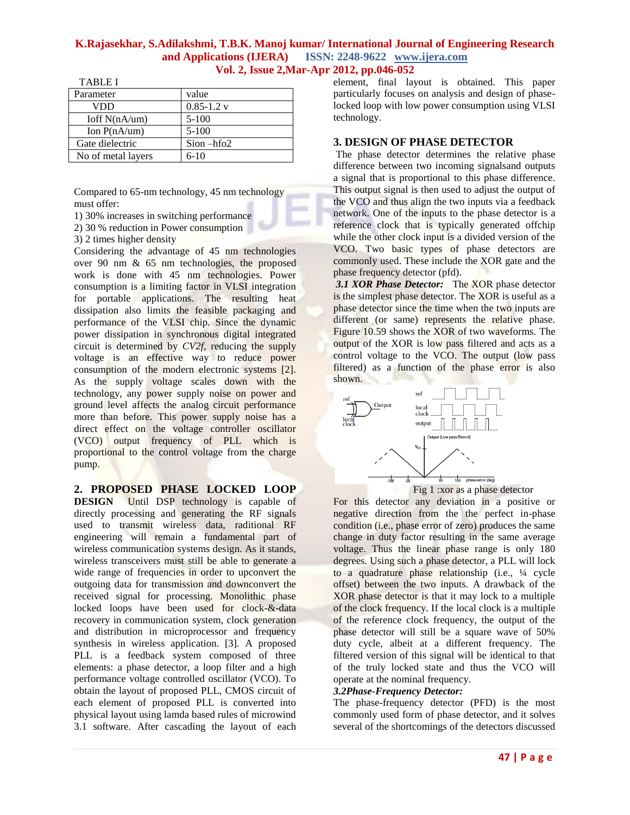| . |                    |                  |
|---|--------------------|------------------|
|   | Parameter          | value            |
|   | VDD                | $0.85 - 1.2$ v   |
|   | Ioff $N(nA/um)$    | $5-100$          |
|   | Ion $P(nA/um)$     | $5-100$          |
|   | Gate dielectric    | $S$ ion $-hf$ o2 |
|   | No of metal layers | $6-10$           |

TABLE I

Compared to 65-nm technology, 45 nm technology must offer:

1) 30% increases in switching performance

2) 30 % reduction in Power consumption

3) 2 times higher density

Considering the advantage of 45 nm technologies over 90 nm & 65 nm technologies, the proposed work is done with 45 nm technologies. Power consumption is a limiting factor in VLSI integration for portable applications. The resulting heat dissipation also limits the feasible packaging and performance of the VLSI chip. Since the dynamic power dissipation in synchronous digital integrated circuit is determined by *CV2f*, reducing the supply voltage is an effective way to reduce power consumption of the modern electronic systems [2]. As the supply voltage scales down with the technology, any power supply noise on power and ground level affects the analog circuit performance more than before. This power supply noise has a direct effect on the voltage controller oscillator (VCO) output frequency of PLL which is proportional to the control voltage from the charge pump.

**2. PROPOSED PHASE LOCKED LOOP** 

**DESIGN** Until DSP technology is capable of directly processing and generating the RF signals used to transmit wireless data, raditional RF engineering will remain a fundamental part of wireless communication systems design. As it stands, wireless transceivers must still be able to generate a wide range of frequencies in order to upconvert the outgoing data for transmission and downconvert the received signal for processing. Monolithic phase locked loops have been used for clock-&-data recovery in communication system, clock generation and distribution in microprocessor and frequency synthesis in wireless application. [3]. A proposed PLL is a feedback system composed of three elements: a phase detector, a loop filter and a high performance voltage controlled oscillator (VCO). To obtain the layout of proposed PLL, CMOS circuit of each element of proposed PLL is converted into physical layout using lamda based rules of microwind 3.1 software. After cascading the layout of each

element, final layout is obtained. This paper particularly focuses on analysis and design of phaselocked loop with low power consumption using VLSI technology.

### **3. DESIGN OF PHASE DETECTOR**

The phase detector determines the relative phase difference between two incoming signalsand outputs a signal that is proportional to this phase difference. This output signal is then used to adjust the output of the VCO and thus align the two inputs via a feedback network. One of the inputs to the phase detector is a reference clock that is typically generated offchip while the other clock input is a divided version of the VCO. Two basic types of phase detectors are commonly used. These include the XOR gate and the phase frequency detector (pfd).

*3.1 XOR Phase Detector:* The XOR phase detector is the simplest phase detector. The XOR is useful as a phase detector since the time when the two inputs are different (or same) represents the relative phase. Figure 10.59 shows the XOR of two waveforms. The output of the XOR is low pass filtered and acts as a control voltage to the VCO. The output (low pass filtered) as a function of the phase error is also shown.



For this detector any deviation in a positive or negative direction from the the perfect in-phase condition (i.e., phase error of zero) produces the same change in duty factor resulting in the same average voltage. Thus the linear phase range is only 180 degrees. Using such a phase detector, a PLL will lock to a quadrature phase relationship (i.e., ¼ cycle offset) between the two inputs. A drawback of the XOR phase detector is that it may lock to a multiple of the clock frequency. If the local clock is a multiple of the reference clock frequency, the output of the phase detector will still be a square wave of 50% duty cycle, albeit at a different frequency. The filtered version of this signal will be identical to that of the truly locked state and thus the VCO will operate at the nominal frequency.

#### *3.2Phase-Frequency Detector:*

The phase-frequency detector (PFD) is the most commonly used form of phase detector, and it solves several of the shortcomings of the detectors discussed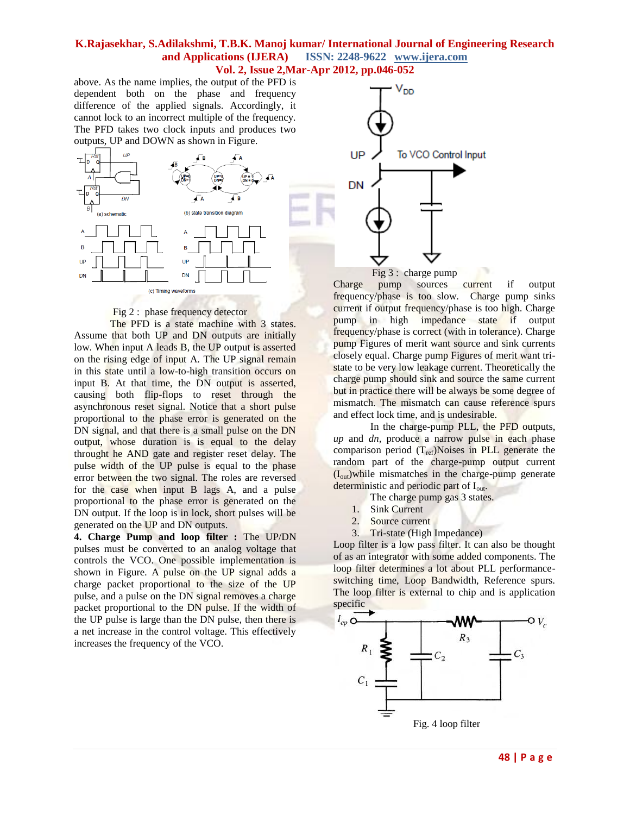above. As the name implies, the output of the PFD is dependent both on the phase and frequency difference of the applied signals. Accordingly, it cannot lock to an incorrect multiple of the frequency. The PFD takes two clock inputs and produces two outputs, UP and DOWN as shown in Figure.



#### **Fig 2 : phase frequency detector**

The PFD is a state machine with 3 states. Assume that both UP and DN outputs are initially low. When input A leads B, the UP output is asserted on the rising edge of input A. The UP signal remain in this state until a low-to-high transition occurs on input B. At that time, the DN output is asserted, causing both flip-flops to reset through the asynchronous reset signal. Notice that a short pulse proportional to the phase error is generated on the DN signal, and that there is a small pulse on the DN output, whose duration is is equal to the delay throught he AND gate and register reset delay. The pulse width of the UP pulse is equal to the phase error between the two signal. The roles are reversed for the case when input B lags A, and a pulse proportional to the phase error is generated on the DN output. If the loop is in lock, short pulses will be generated on the UP and DN outputs.

**4. Charge Pump and loop filter :** The UP/DN pulses must be converted to an analog voltage that controls the VCO. One possible implementation is shown in Figure. A pulse on the UP signal adds a charge packet proportional to the size of the UP pulse, and a pulse on the DN signal removes a charge packet proportional to the DN pulse. If the width of the UP pulse is large than the DN pulse, then there is a net increase in the control voltage. This effectively increases the frequency of the VCO.



Charge pump sources current if output frequency/phase is too slow. Charge pump sinks current if output frequency/phase is too high. Charge pump in high impedance state if output frequency/phase is correct (with in tolerance). Charge pump Figures of merit want source and sink currents closely equal. Charge pump Figures of merit want tristate to be very low leakage current. Theoretically the charge pump should sink and source the same current but in practice there will be always be some degree of mismatch. The mismatch can cause reference spurs and effect lock time, and is undesirable.

In the charge-pump PLL, the PFD outputs, *up* and *dn,* produce a narrow pulse in each phase comparison period  $(T_{ref})$ Noises in PLL generate the random part of the charge-pump output current  $(I<sub>out</sub>)$  while mismatches in the charge-pump generate deterministic and periodic part of  $I_{out}$ .

The charge pump gas 3 states.

- 1. Sink Current
- 2. Source current
- 3. Tri-state (High Impedance)

Loop filter is a low pass filter. It can also be thought of as an integrator with some added components. The loop filter determines a lot about PLL performanceswitching time, Loop Bandwidth, Reference spurs. The loop filter is external to chip and is application specific

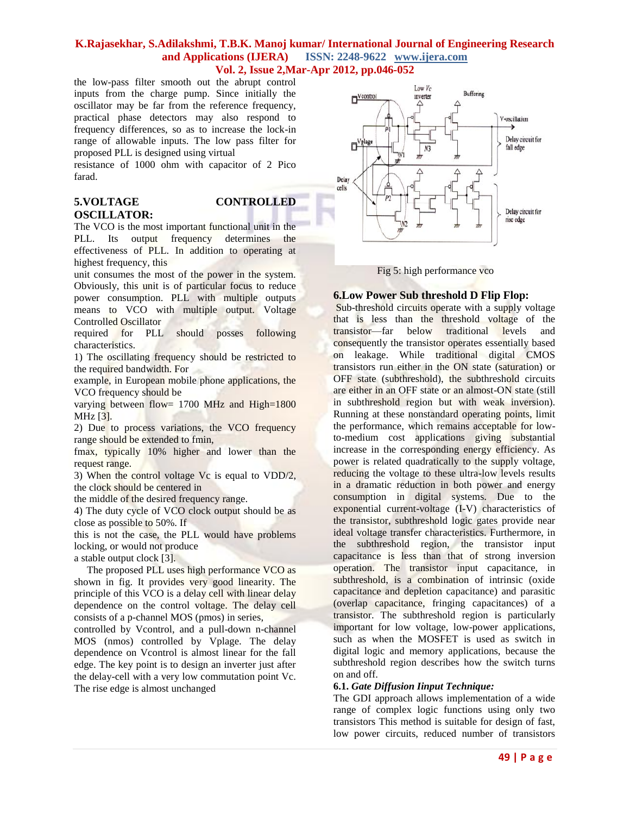the low-pass filter smooth out the abrupt control inputs from the charge pump. Since initially the oscillator may be far from the reference frequency, practical phase detectors may also respond to frequency differences, so as to increase the lock-in range of allowable inputs. The low pass filter for proposed PLL is designed using virtual

resistance of 1000 ohm with capacitor of 2 Pico farad.

#### **5.VOLTAGE CONTROLLED OSCILLATOR:**

The VCO is the most important functional unit in the PLL. Its output frequency determines the effectiveness of PLL. In addition to operating at highest frequency, this

unit consumes the most of the power in the system. Obviously, this unit is of particular focus to reduce power consumption. PLL with multiple outputs means to VCO with multiple output. Voltage Controlled Oscillator

required for PLL should posses following characteristics.

1) The oscillating frequency should be restricted to the required bandwidth. For

example, in European mobile phone applications, the VCO frequency should be

varying between flow= 1700 MHz and High=1800 MHz [3].

2) Due to process variations, the VCO frequency range should be extended to fmin,

fmax, typically 10% higher and lower than the request range.

3) When the control voltage Vc is equal to VDD/2, the clock should be centered in

the middle of the desired frequency range.

4) The duty cycle of VCO clock output should be as close as possible to 50%. If

this is not the case, the PLL would have problems locking, or would not produce

a stable output clock [3].

 The proposed PLL uses high performance VCO as shown in fig. It provides very good linearity. The principle of this VCO is a delay cell with linear delay dependence on the control voltage. The delay cell consists of a p-channel MOS (pmos) in series,

controlled by Vcontrol, and a pull-down n-channel MOS (nmos) controlled by Vplage. The delay dependence on Vcontrol is almost linear for the fall edge. The key point is to design an inverter just after the delay-cell with a very low commutation point Vc. The rise edge is almost unchanged



Fig 5: high performance vco

## **6.Low Power Sub threshold D Flip Flop:**

Sub-threshold circuits operate with a supply voltage that is less than the threshold voltage of the transistor—far below traditional levels and consequently the transistor operates essentially based on leakage. While traditional digital CMOS transistors run either in the ON state (saturation) or OFF state (subthreshold), the subthreshold circuits are either in an OFF state or an almost-ON state (still in subthreshold region but with weak inversion). Running at these nonstandard operating points, limit the performance, which remains acceptable for lowto-medium cost applications giving substantial increase in the corresponding energy efficiency. As power is related quadratically to the supply voltage, reducing the voltage to these ultra-low levels results in a dramatic reduction in both power and energy consumption in digital systems. Due to the exponential current-voltage (I-V) characteristics of the transistor, subthreshold logic gates provide near ideal voltage transfer characteristics. Furthermore, in the subthreshold region, the transistor input capacitance is less than that of strong inversion operation. The transistor input capacitance, in subthreshold, is a combination of intrinsic (oxide capacitance and depletion capacitance) and parasitic (overlap capacitance, fringing capacitances) of a transistor. The subthreshold region is particularly important for low voltage, low-power applications, such as when the MOSFET is used as switch in digital logic and memory applications, because the subthreshold region describes how the switch turns on and off.

#### **6.1.** *Gate Diffusion Iinput Technique:*

The GDI approach allows implementation of a wide range of complex logic functions using only two transistors This method is suitable for design of fast, low power circuits, reduced number of transistors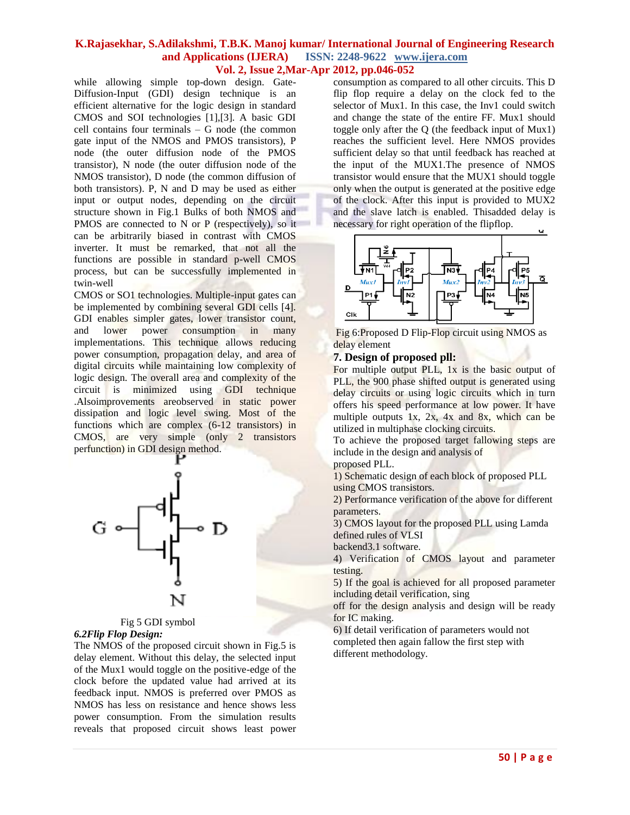while allowing simple top-down design. Gate-Diffusion-Input (GDI) design technique is an efficient alternative for the logic design in standard CMOS and SOI technologies [1],[3]. A basic GDI cell contains four terminals – G node (the common gate input of the NMOS and PMOS transistors), P node (the outer diffusion node of the PMOS transistor), N node (the outer diffusion node of the NMOS transistor), D node (the common diffusion of both transistors). P, N and D may be used as either input or output nodes, depending on the circuit structure shown in Fig.1 Bulks of both NMOS and PMOS are connected to N or P (respectively), so it can be arbitrarily biased in contrast with CMOS inverter. It must be remarked, that not all the functions are possible in standard p-well CMOS process, but can be successfully implemented in twin-well

CMOS or SO1 technologies. Multiple-input gates can be implemented by combining several GDI cells [4]. GDI enables simpler gates, lower transistor count, and lower power consumption in many implementations. This technique allows reducing power consumption, propagation delay, and area of digital circuits while maintaining low complexity of logic design. The overall area and complexity of the circuit is minimized using GDI technique .Alsoimprovements areobserved in static power dissipation and logic level swing. Most of the functions which are complex (6-12 transistors) in CMOS, are very simple (only 2 transistors perfunction) in GDI design method.



#### Fig 5 GDI symbol *6.2Flip Flop Design:*

The NMOS of the proposed circuit shown in Fig.5 is delay element. Without this delay, the selected input of the Mux1 would toggle on the positive-edge of the clock before the updated value had arrived at its feedback input. NMOS is preferred over PMOS as NMOS has less on resistance and hence shows less power consumption. From the simulation results reveals that proposed circuit shows least power

consumption as compared to all other circuits. This D flip flop require a delay on the clock fed to the selector of Mux1. In this case, the Inv1 could switch and change the state of the entire FF. Mux1 should toggle only after the Q (the feedback input of Mux1) reaches the sufficient level. Here NMOS provides sufficient delay so that until feedback has reached at the input of the MUX1.The presence of NMOS transistor would ensure that the MUX1 should toggle only when the output is generated at the positive edge of the clock. After this input is provided to MUX2 and the slave latch is enabled. Thisadded delay is necessary for right operation of the flipflop.



Fig 6:Proposed D Flip-Flop circuit using NMOS as delay element

#### **7. Design of proposed pll:**

For multiple output PLL, 1x is the basic output of PLL, the 900 phase shifted output is generated using delay circuits or using logic circuits which in turn offers his speed performance at low power. It have multiple outputs 1x,  $2x$ ,  $4x$  and  $8x$ , which can be utilized in multiphase clocking circuits.

To achieve the proposed target fallowing steps are include in the design and analysis of

proposed PLL.

1) Schematic design of each block of proposed PLL using CMOS transistors.

2) Performance verification of the above for different parameters.

3) CMOS layout for the proposed PLL using Lamda defined rules of VLSI

backend3.1 software.

4) Verification of CMOS layout and parameter testing.

5) If the goal is achieved for all proposed parameter including detail verification, sing

off for the design analysis and design will be ready for IC making.

6) If detail verification of parameters would not completed then again fallow the first step with different methodology.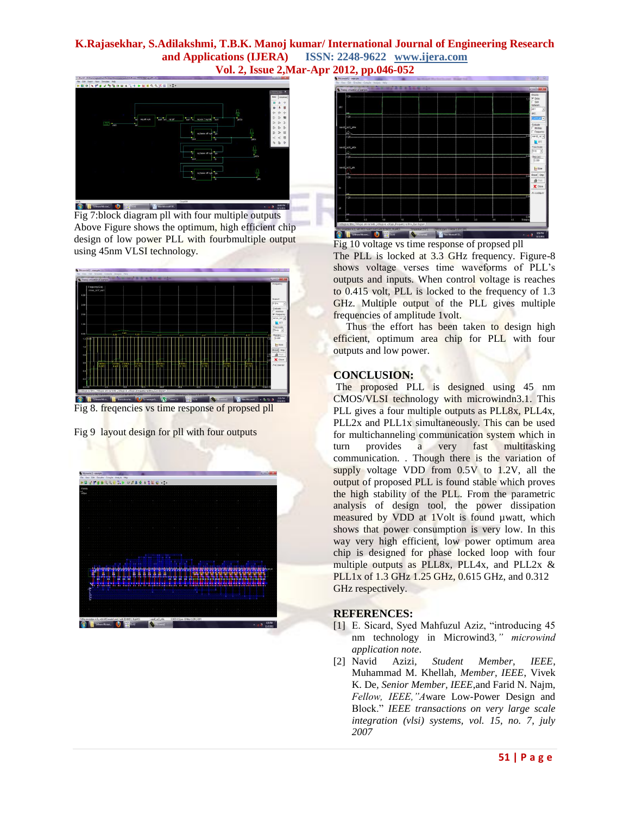

Fig 7:block diagram pll with four multiple outputs Above Figure shows the optimum, high efficient chip design of low power PLL with fourbmultiple output using 45nm VLSI technology.











Fig 10 voltage vs time response of propsed pll

The PLL is locked at 3.3 GHz frequency. Figure-8 shows voltage verses time waveforms of PLL's outputs and inputs. When control voltage is reaches to 0.415 volt, PLL is locked to the frequency of 1.3 GHz. Multiple output of the PLL gives multiple frequencies of amplitude 1volt.

Thus the effort has been taken to design high efficient, optimum area chip for PLL with four outputs and low power.

## **CONCLUSION:**

The proposed PLL is designed using 45 nm CMOS/VLSI technology with microwindn3.1. This PLL gives a four multiple outputs as PLL8x, PLL4x, PLL2x and PLL1x simultaneously. This can be used for multichanneling communication system which in turn provides a very fast multitasking communication. . Though there is the variation of supply voltage VDD from 0.5V to 1.2V, all the output of proposed PLL is found stable which proves the high stability of the PLL. From the parametric analysis of design tool, the power dissipation measured by VDD at 1Volt is found µwatt, which shows that power consumption is very low. In this way very high efficient, low power optimum area chip is designed for phase locked loop with four multiple outputs as PLL8x, PLL4x, and PLL2x & PLL1x of 1.3 GHz 1.25 GHz, 0.615 GHz, and 0.312 GHz respectively.

## **REFERENCES:**

- [1] E. Sicard, Syed Mahfuzul Aziz, "introducing 45 nm technology in Microwind3*," microwind application note*.
- [2] Navid Azizi*, Student Member, IEEE*, Muhammad M. Khellah*, Member, IEEE*, Vivek K. De*, Senior Member, IEEE*,and Farid N. Najm*, Fellow, IEEE,"A*ware Low-Power Design and Block.‖ *IEEE transactions on very large scale integration (vlsi) systems, vol. 15, no. 7, july 2007*